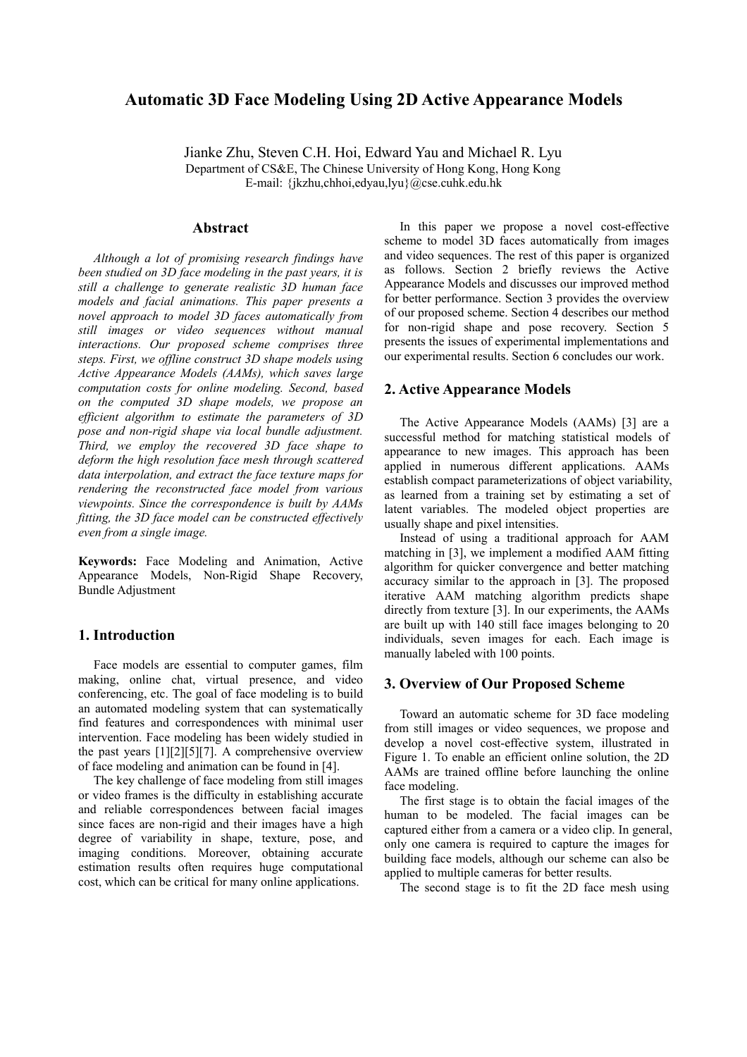# **Automatic 3D Face Modeling Using 2D Active Appearance Models**

Jianke Zhu, Steven C.H. Hoi, Edward Yau and Michael R. Lyu Department of CS&E, The Chinese University of Hong Kong, Hong Kong E-mail: {jkzhu,chhoi,edyau,lyu}@cse.cuhk.edu.hk

## **Abstract**

*Although a lot of promising research findings have been studied on 3D face modeling in the past years, it is still a challenge to generate realistic 3D human face models and facial animations. This paper presents a novel approach to model 3D faces automatically from still images or video sequences without manual interactions. Our proposed scheme comprises three steps. First, we offline construct 3D shape models using Active Appearance Models (AAMs), which saves large computation costs for online modeling. Second, based on the computed 3D shape models, we propose an efficient algorithm to estimate the parameters of 3D pose and non-rigid shape via local bundle adjustment. Third, we employ the recovered 3D face shape to deform the high resolution face mesh through scattered data interpolation, and extract the face texture maps for rendering the reconstructed face model from various viewpoints. Since the correspondence is built by AAMs fitting, the 3D face model can be constructed effectively even from a single image.* 

**Keywords:** Face Modeling and Animation, Active Appearance Models, Non-Rigid Shape Recovery, Bundle Adjustment

### **1. Introduction**

Face models are essential to computer games, film making, online chat, virtual presence, and video conferencing, etc. The goal of face modeling is to build an automated modeling system that can systematically find features and correspondences with minimal user intervention. Face modeling has been widely studied in the past years [1][2][5][7]. A comprehensive overview of face modeling and animation can be found in [4].

The key challenge of face modeling from still images or video frames is the difficulty in establishing accurate and reliable correspondences between facial images since faces are non-rigid and their images have a high degree of variability in shape, texture, pose, and imaging conditions. Moreover, obtaining accurate estimation results often requires huge computational cost, which can be critical for many online applications.

In this paper we propose a novel cost-effective scheme to model 3D faces automatically from images and video sequences. The rest of this paper is organized as follows. Section 2 briefly reviews the Active Appearance Models and discusses our improved method for better performance. Section 3 provides the overview of our proposed scheme. Section 4 describes our method for non-rigid shape and pose recovery. Section 5 presents the issues of experimental implementations and our experimental results. Section 6 concludes our work.

#### **2. Active Appearance Models**

The Active Appearance Models (AAMs) [3] are a successful method for matching statistical models of appearance to new images. This approach has been applied in numerous different applications. AAMs establish compact parameterizations of object variability, as learned from a training set by estimating a set of latent variables. The modeled object properties are usually shape and pixel intensities.

Instead of using a traditional approach for AAM matching in [3], we implement a modified AAM fitting algorithm for quicker convergence and better matching accuracy similar to the approach in [3]. The proposed iterative AAM matching algorithm predicts shape directly from texture [3]. In our experiments, the AAMs are built up with 140 still face images belonging to 20 individuals, seven images for each. Each image is manually labeled with 100 points.

### **3. Overview of Our Proposed Scheme**

Toward an automatic scheme for 3D face modeling from still images or video sequences, we propose and develop a novel cost-effective system, illustrated in Figure 1. To enable an efficient online solution, the 2D AAMs are trained offline before launching the online face modeling.

The first stage is to obtain the facial images of the human to be modeled. The facial images can be captured either from a camera or a video clip. In general, only one camera is required to capture the images for building face models, although our scheme can also be applied to multiple cameras for better results.

The second stage is to fit the 2D face mesh using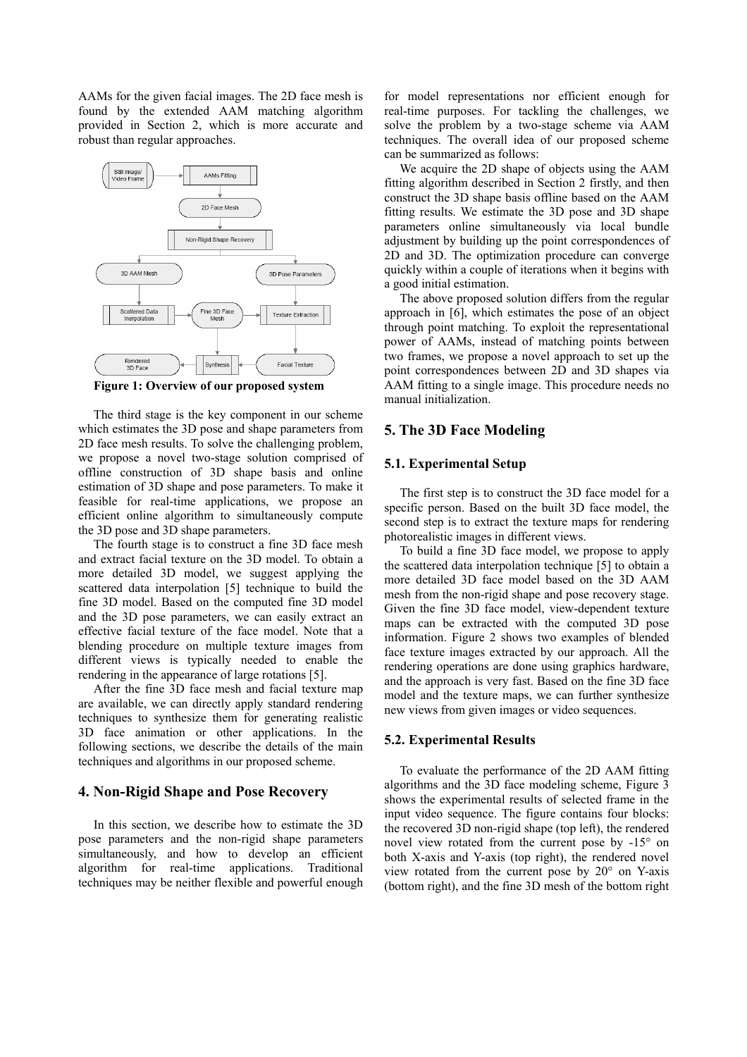AAMs for the given facial images. The 2D face mesh is found by the extended AAM matching algorithm provided in Section 2, which is more accurate and robust than regular approaches.



**Figure 1: Overview of our proposed system** 

The third stage is the key component in our scheme which estimates the 3D pose and shape parameters from 2D face mesh results. To solve the challenging problem, we propose a novel two-stage solution comprised of offline construction of 3D shape basis and online estimation of 3D shape and pose parameters. To make it feasible for real-time applications, we propose an efficient online algorithm to simultaneously compute the 3D pose and 3D shape parameters.

The fourth stage is to construct a fine 3D face mesh and extract facial texture on the 3D model. To obtain a more detailed 3D model, we suggest applying the scattered data interpolation [5] technique to build the fine 3D model. Based on the computed fine 3D model and the 3D pose parameters, we can easily extract an effective facial texture of the face model. Note that a blending procedure on multiple texture images from different views is typically needed to enable the rendering in the appearance of large rotations [5].

After the fine 3D face mesh and facial texture map are available, we can directly apply standard rendering techniques to synthesize them for generating realistic 3D face animation or other applications. In the following sections, we describe the details of the main techniques and algorithms in our proposed scheme.

#### **4. Non-Rigid Shape and Pose Recovery**

In this section, we describe how to estimate the 3D pose parameters and the non-rigid shape parameters simultaneously, and how to develop an efficient algorithm for real-time applications. Traditional techniques may be neither flexible and powerful enough for model representations nor efficient enough for real-time purposes. For tackling the challenges, we solve the problem by a two-stage scheme via AAM techniques. The overall idea of our proposed scheme can be summarized as follows:

We acquire the 2D shape of objects using the AAM fitting algorithm described in Section 2 firstly, and then construct the 3D shape basis offline based on the AAM fitting results. We estimate the 3D pose and 3D shape parameters online simultaneously via local bundle adjustment by building up the point correspondences of 2D and 3D. The optimization procedure can converge quickly within a couple of iterations when it begins with a good initial estimation.

The above proposed solution differs from the regular approach in [6], which estimates the pose of an object through point matching. To exploit the representational power of AAMs, instead of matching points between two frames, we propose a novel approach to set up the point correspondences between 2D and 3D shapes via AAM fitting to a single image. This procedure needs no manual initialization.

### **5. The 3D Face Modeling**

#### **5.1. Experimental Setup**

The first step is to construct the 3D face model for a specific person. Based on the built 3D face model, the second step is to extract the texture maps for rendering photorealistic images in different views.

To build a fine 3D face model, we propose to apply the scattered data interpolation technique [5] to obtain a more detailed 3D face model based on the 3D AAM mesh from the non-rigid shape and pose recovery stage. Given the fine 3D face model, view-dependent texture maps can be extracted with the computed 3D pose information. Figure 2 shows two examples of blended face texture images extracted by our approach. All the rendering operations are done using graphics hardware, and the approach is very fast. Based on the fine 3D face model and the texture maps, we can further synthesize new views from given images or video sequences.

#### **5.2. Experimental Results**

To evaluate the performance of the 2D AAM fitting algorithms and the 3D face modeling scheme, Figure 3 shows the experimental results of selected frame in the input video sequence. The figure contains four blocks: the recovered 3D non-rigid shape (top left), the rendered novel view rotated from the current pose by -15° on both X-axis and Y-axis (top right), the rendered novel view rotated from the current pose by 20° on Y-axis (bottom right), and the fine 3D mesh of the bottom right